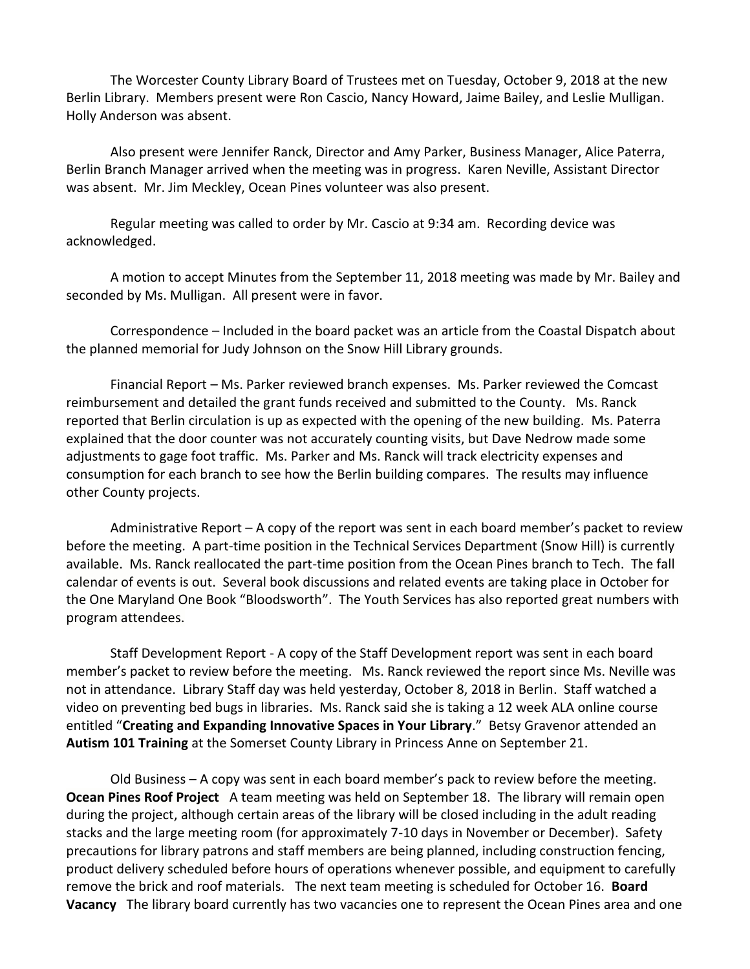The Worcester County Library Board of Trustees met on Tuesday, October 9, 2018 at the new Berlin Library. Members present were Ron Cascio, Nancy Howard, Jaime Bailey, and Leslie Mulligan. Holly Anderson was absent.

Also present were Jennifer Ranck, Director and Amy Parker, Business Manager, Alice Paterra, Berlin Branch Manager arrived when the meeting was in progress. Karen Neville, Assistant Director was absent. Mr. Jim Meckley, Ocean Pines volunteer was also present.

Regular meeting was called to order by Mr. Cascio at 9:34 am. Recording device was acknowledged.

A motion to accept Minutes from the September 11, 2018 meeting was made by Mr. Bailey and seconded by Ms. Mulligan. All present were in favor.

Correspondence – Included in the board packet was an article from the Coastal Dispatch about the planned memorial for Judy Johnson on the Snow Hill Library grounds.

Financial Report – Ms. Parker reviewed branch expenses. Ms. Parker reviewed the Comcast reimbursement and detailed the grant funds received and submitted to the County. Ms. Ranck reported that Berlin circulation is up as expected with the opening of the new building. Ms. Paterra explained that the door counter was not accurately counting visits, but Dave Nedrow made some adjustments to gage foot traffic. Ms. Parker and Ms. Ranck will track electricity expenses and consumption for each branch to see how the Berlin building compares. The results may influence other County projects.

Administrative Report – A copy of the report was sent in each board member's packet to review before the meeting. A part-time position in the Technical Services Department (Snow Hill) is currently available. Ms. Ranck reallocated the part-time position from the Ocean Pines branch to Tech. The fall calendar of events is out. Several book discussions and related events are taking place in October for the One Maryland One Book "Bloodsworth". The Youth Services has also reported great numbers with program attendees.

Staff Development Report - A copy of the Staff Development report was sent in each board member's packet to review before the meeting. Ms. Ranck reviewed the report since Ms. Neville was not in attendance. Library Staff day was held yesterday, October 8, 2018 in Berlin. Staff watched a video on preventing bed bugs in libraries. Ms. Ranck said she is taking a 12 week ALA online course entitled "**Creating and Expanding Innovative Spaces in Your Library**." Betsy Gravenor attended an **Autism 101 Training** at the Somerset County Library in Princess Anne on September 21.

Old Business – A copy was sent in each board member's pack to review before the meeting. **Ocean Pines Roof Project** A team meeting was held on September 18. The library will remain open during the project, although certain areas of the library will be closed including in the adult reading stacks and the large meeting room (for approximately 7-10 days in November or December). Safety precautions for library patrons and staff members are being planned, including construction fencing, product delivery scheduled before hours of operations whenever possible, and equipment to carefully remove the brick and roof materials. The next team meeting is scheduled for October 16. **Board Vacancy** The library board currently has two vacancies one to represent the Ocean Pines area and one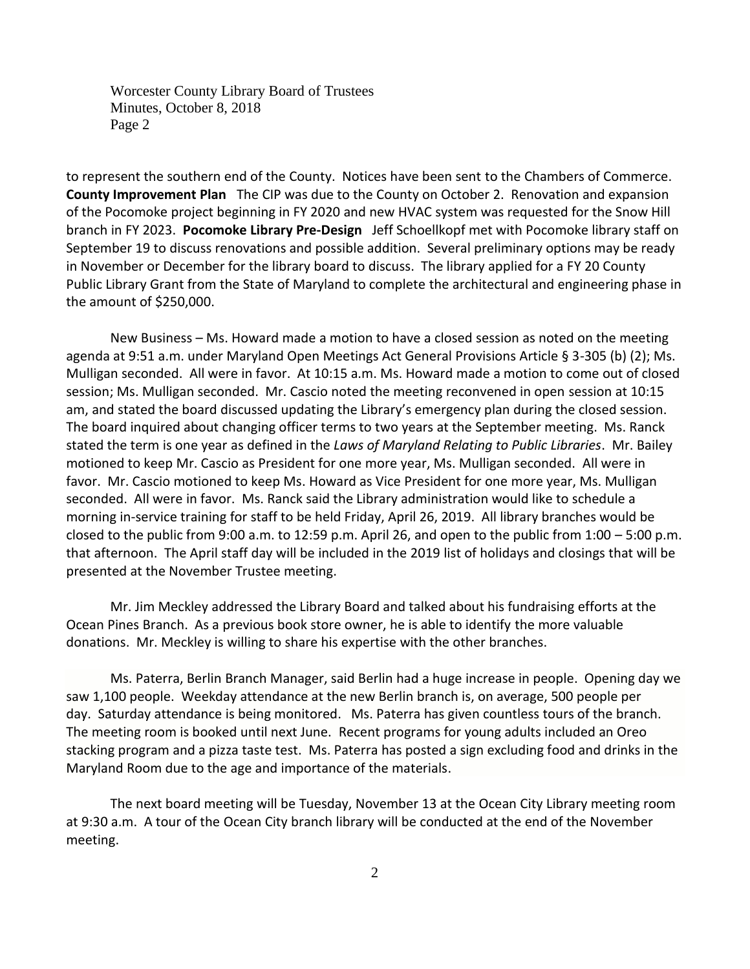Worcester County Library Board of Trustees Minutes, October 8, 2018 Page 2

to represent the southern end of the County. Notices have been sent to the Chambers of Commerce. **County Improvement Plan** The CIP was due to the County on October 2. Renovation and expansion of the Pocomoke project beginning in FY 2020 and new HVAC system was requested for the Snow Hill branch in FY 2023. **Pocomoke Library Pre-Design** Jeff Schoellkopf met with Pocomoke library staff on September 19 to discuss renovations and possible addition. Several preliminary options may be ready in November or December for the library board to discuss. The library applied for a FY 20 County Public Library Grant from the State of Maryland to complete the architectural and engineering phase in the amount of \$250,000.

New Business – Ms. Howard made a motion to have a closed session as noted on the meeting agenda at 9:51 a.m. under Maryland Open Meetings Act General Provisions Article § 3-305 (b) (2); Ms. Mulligan seconded. All were in favor. At 10:15 a.m. Ms. Howard made a motion to come out of closed session; Ms. Mulligan seconded. Mr. Cascio noted the meeting reconvened in open session at 10:15 am, and stated the board discussed updating the Library's emergency plan during the closed session. The board inquired about changing officer terms to two years at the September meeting. Ms. Ranck stated the term is one year as defined in the *Laws of Maryland Relating to Public Libraries*. Mr. Bailey motioned to keep Mr. Cascio as President for one more year, Ms. Mulligan seconded. All were in favor. Mr. Cascio motioned to keep Ms. Howard as Vice President for one more year, Ms. Mulligan seconded. All were in favor. Ms. Ranck said the Library administration would like to schedule a morning in-service training for staff to be held Friday, April 26, 2019. All library branches would be closed to the public from 9:00 a.m. to 12:59 p.m. April 26, and open to the public from 1:00 – 5:00 p.m. that afternoon. The April staff day will be included in the 2019 list of holidays and closings that will be presented at the November Trustee meeting.

Mr. Jim Meckley addressed the Library Board and talked about his fundraising efforts at the Ocean Pines Branch. As a previous book store owner, he is able to identify the more valuable donations. Mr. Meckley is willing to share his expertise with the other branches.

Ms. Paterra, Berlin Branch Manager, said Berlin had a huge increase in people. Opening day we saw 1,100 people. Weekday attendance at the new Berlin branch is, on average, 500 people per day. Saturday attendance is being monitored. Ms. Paterra has given countless tours of the branch. The meeting room is booked until next June. Recent programs for young adults included an Oreo stacking program and a pizza taste test. Ms. Paterra has posted a sign excluding food and drinks in the Maryland Room due to the age and importance of the materials.

The next board meeting will be Tuesday, November 13 at the Ocean City Library meeting room at 9:30 a.m. A tour of the Ocean City branch library will be conducted at the end of the November meeting.